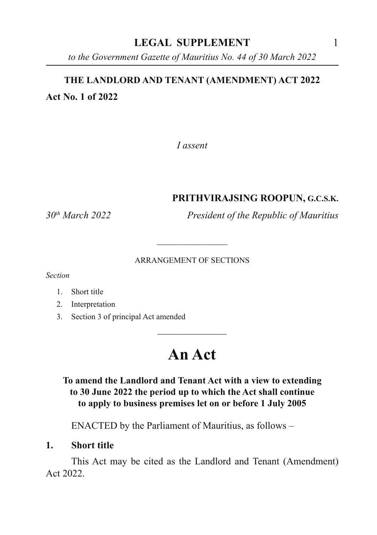## **LEGAL SUPPLEMENT** 1

*to the Government Gazette of Mauritius No. 44 of 30 March 2022*

# **THE LANDLORD AND TENANT (AMENDMENT) ACT 2022 Act No. 1 of 2022**

*I assent*

### **PRITHVIRAJSING ROOPUN, G.C.S.K.**

*30th March 2022 President of the Republic of Mauritius*

#### ARRANGEMENT OF SECTIONS

\_\_\_\_\_\_\_\_\_\_\_\_\_\_\_

*Section*

- 1. Short title
- 2. Interpretation
- 3. Section 3 of principal Act amended

# **An Act**

 $\overline{\phantom{a}}$  , where  $\overline{\phantom{a}}$ 

### **To amend the Landlord and Tenant Act with a view to extending to 30 June 2022 the period up to which the Act shall continue to apply to business premises let on or before 1 July 2005**

ENACTED by the Parliament of Mauritius, as follows –

### **1. Short title**

This Act may be cited as the Landlord and Tenant (Amendment) Act 2022.